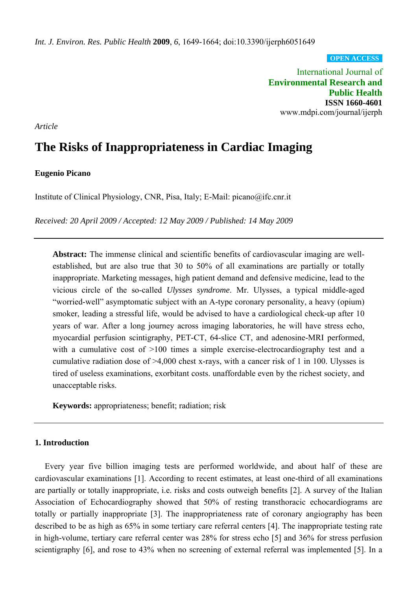**OPEN ACCESS**

International Journal of **Environmental Research and Public Health ISSN 1660-4601** www.mdpi.com/journal/ijerph

*Article*

# **The Risks of Inappropriateness in Cardiac Imaging**

## **Eugenio Picano**

Institute of Clinical Physiology, CNR, Pisa, Italy; E-Mail: picano@ifc.cnr.it

*Received: 20 April 2009 / Accepted: 12 May 2009 / Published: 14 May 2009* 

**Abstract:** The immense clinical and scientific benefits of cardiovascular imaging are wellestablished, but are also true that 30 to 50% of all examinations are partially or totally inappropriate. Marketing messages, high patient demand and defensive medicine, lead to the vicious circle of the so-called *Ulysses syndrome*. Mr. Ulysses, a typical middle-aged "worried-well" asymptomatic subject with an A-type coronary personality, a heavy (opium) smoker, leading a stressful life, would be advised to have a cardiological check-up after 10 years of war. After a long journey across imaging laboratories, he will have stress echo, myocardial perfusion scintigraphy, PET-CT, 64-slice CT, and adenosine-MRI performed, with a cumulative cost of >100 times a simple exercise-electrocardiography test and a cumulative radiation dose of >4,000 chest x-rays, with a cancer risk of 1 in 100. Ulysses is tired of useless examinations, exorbitant costs. unaffordable even by the richest society, and unacceptable risks.

**Keywords:** appropriateness; benefit; radiation; risk

# **1. Introduction**

Every year five billion imaging tests are performed worldwide, and about half of these are cardiovascular examinations [1]. According to recent estimates, at least one-third of all examinations are partially or totally inappropriate, i.e. risks and costs outweigh benefits [2]. A survey of the Italian Association of Echocardiography showed that 50% of resting transthoracic echocardiograms are totally or partially inappropriate [3]. The inappropriateness rate of coronary angiography has been described to be as high as 65% in some tertiary care referral centers [4]. The inappropriate testing rate in high-volume, tertiary care referral center was 28% for stress echo [5] and 36% for stress perfusion scientigraphy [6], and rose to 43% when no screening of external referral was implemented [5]. In a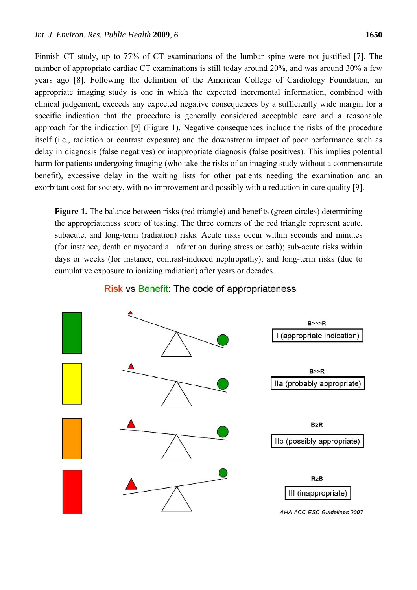Finnish CT study, up to 77% of CT examinations of the lumbar spine were not justified [7]. The number of appropriate cardiac CT examinations is still today around 20%, and was around 30% a few years ago [8]. Following the definition of the American College of Cardiology Foundation, an appropriate imaging study is one in which the expected incremental information, combined with clinical judgement, exceeds any expected negative consequences by a sufficiently wide margin for a specific indication that the procedure is generally considered acceptable care and a reasonable approach for the indication [9] (Figure 1). Negative consequences include the risks of the procedure itself (i.e., radiation or contrast exposure) and the downstream impact of poor performance such as delay in diagnosis (false negatives) or inappropriate diagnosis (false positives). This implies potential harm for patients undergoing imaging (who take the risks of an imaging study without a commensurate benefit), excessive delay in the waiting lists for other patients needing the examination and an exorbitant cost for society, with no improvement and possibly with a reduction in care quality [9].

**Figure 1.** The balance between risks (red triangle) and benefits (green circles) determining the appropriateness score of testing. The three corners of the red triangle represent acute, subacute, and long-term (radiation) risks. Acute risks occur within seconds and minutes (for instance, death or myocardial infarction during stress or cath); sub-acute risks within days or weeks (for instance, contrast-induced nephropathy); and long-term risks (due to cumulative exposure to ionizing radiation) after years or decades.



# Risk vs Benefit: The code of appropriateness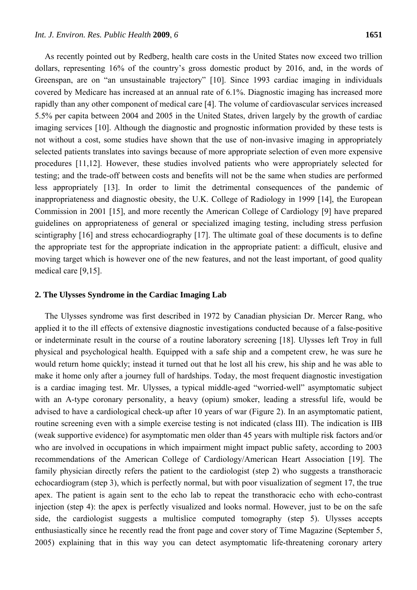As recently pointed out by Redberg, health care costs in the United States now exceed two trillion dollars, representing 16% of the country's gross domestic product by 2016, and, in the words of Greenspan, are on "an unsustainable trajectory" [10]. Since 1993 cardiac imaging in individuals covered by Medicare has increased at an annual rate of 6.1%. Diagnostic imaging has increased more rapidly than any other component of medical care [4]. The volume of cardiovascular services increased 5.5% per capita between 2004 and 2005 in the United States, driven largely by the growth of cardiac imaging services [10]. Although the diagnostic and prognostic information provided by these tests is not without a cost, some studies have shown that the use of non-invasive imaging in appropriately selected patients translates into savings because of more appropriate selection of even more expensive procedures [11,12]. However, these studies involved patients who were appropriately selected for testing; and the trade-off between costs and benefits will not be the same when studies are performed less appropriately [13]. In order to limit the detrimental consequences of the pandemic of inappropriateness and diagnostic obesity, the U.K. College of Radiology in 1999 [14], the European Commission in 2001 [15], and more recently the American College of Cardiology [9] have prepared guidelines on appropriateness of general or specialized imaging testing, including stress perfusion scintigraphy [16] and stress echocardiography [17]. The ultimate goal of these documents is to define the appropriate test for the appropriate indication in the appropriate patient: a difficult, elusive and moving target which is however one of the new features, and not the least important, of good quality medical care [9,15].

#### **2. The Ulysses Syndrome in the Cardiac Imaging Lab**

The Ulysses syndrome was first described in 1972 by Canadian physician Dr. Mercer Rang, who applied it to the ill effects of extensive diagnostic investigations conducted because of a false-positive or indeterminate result in the course of a routine laboratory screening [18]. Ulysses left Troy in full physical and psychological health. Equipped with a safe ship and a competent crew, he was sure he would return home quickly; instead it turned out that he lost all his crew, his ship and he was able to make it home only after a journey full of hardships. Today, the most frequent diagnostic investigation is a cardiac imaging test. Mr. Ulysses, a typical middle-aged "worried-well" asymptomatic subject with an A-type coronary personality, a heavy (opium) smoker, leading a stressful life, would be advised to have a cardiological check-up after 10 years of war (Figure 2). In an asymptomatic patient, routine screening even with a simple exercise testing is not indicated (class III). The indication is IIB (weak supportive evidence) for asymptomatic men older than 45 years with multiple risk factors and/or who are involved in occupations in which impairment might impact public safety, according to 2003 recommendations of the American College of Cardiology/American Heart Association [19]. The family physician directly refers the patient to the cardiologist (step 2) who suggests a transthoracic echocardiogram (step 3), which is perfectly normal, but with poor visualization of segment 17, the true apex. The patient is again sent to the echo lab to repeat the transthoracic echo with echo-contrast injection (step 4): the apex is perfectly visualized and looks normal. However, just to be on the safe side, the cardiologist suggests a multislice computed tomography (step 5). Ulysses accepts enthusiastically since he recently read the front page and cover story of Time Magazine (September 5, 2005) explaining that in this way you can detect asymptomatic life-threatening coronary artery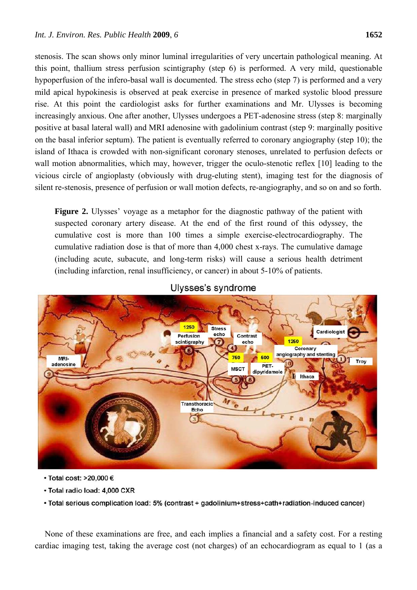stenosis. The scan shows only minor luminal irregularities of very uncertain pathological meaning. At this point, thallium stress perfusion scintigraphy (step 6) is performed. A very mild, questionable hypoperfusion of the infero-basal wall is documented. The stress echo (step 7) is performed and a very mild apical hypokinesis is observed at peak exercise in presence of marked systolic blood pressure rise. At this point the cardiologist asks for further examinations and Mr. Ulysses is becoming increasingly anxious. One after another, Ulysses undergoes a PET-adenosine stress (step 8: marginally positive at basal lateral wall) and MRI adenosine with gadolinium contrast (step 9: marginally positive on the basal inferior septum). The patient is eventually referred to coronary angiography (step 10); the island of Ithaca is crowded with non-significant coronary stenoses, unrelated to perfusion defects or wall motion abnormalities, which may, however, trigger the oculo-stenotic reflex [10] leading to the vicious circle of angioplasty (obviously with drug-eluting stent), imaging test for the diagnosis of silent re-stenosis, presence of perfusion or wall motion defects, re-angiography, and so on and so forth.

**Figure 2.** Ulysses' voyage as a metaphor for the diagnostic pathway of the patient with suspected coronary artery disease. At the end of the first round of this odyssey, the cumulative cost is more than 100 times a simple exercise-electrocardiography. The cumulative radiation dose is that of more than 4,000 chest x-rays. The cumulative damage (including acute, subacute, and long-term risks) will cause a serious health detriment (including infarction, renal insufficiency, or cancer) in about 5-10% of patients.



# Ulvsses's syndrome

- Total cost: >20,000 €
- · Total radio load: 4,000 CXR
- . Total serious complication load: 5% (contrast + gadolinium+stress+cath+radiation-induced cancer)

None of these examinations are free, and each implies a financial and a safety cost. For a resting cardiac imaging test, taking the average cost (not charges) of an echocardiogram as equal to 1 (as a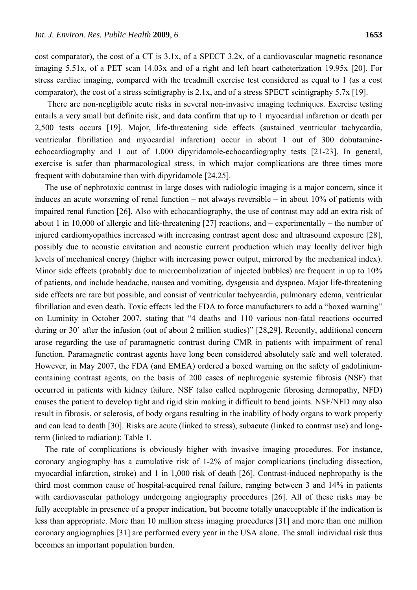cost comparator), the cost of a CT is 3.1x, of a SPECT 3.2x, of a cardiovascular magnetic resonance imaging 5.51x, of a PET scan 14.03x and of a right and left heart catheterization 19.95x [20]. For stress cardiac imaging, compared with the treadmill exercise test considered as equal to 1 (as a cost comparator), the cost of a stress scintigraphy is  $2.1x$ , and of a stress SPECT scintigraphy 5.7x [19].

There are non-negligible acute risks in several non-invasive imaging techniques. Exercise testing entails a very small but definite risk, and data confirm that up to 1 myocardial infarction or death per 2,500 tests occurs [19]. Major, life-threatening side effects (sustained ventricular tachycardia, ventricular fibrillation and myocardial infarction) occur in about 1 out of 300 dobutamineechocardiography and 1 out of 1,000 dipyridamole-echocardiography tests [21-23]. In general, exercise is safer than pharmacological stress, in which major complications are three times more frequent with dobutamine than with dipyridamole [24,25].

The use of nephrotoxic contrast in large doses with radiologic imaging is a major concern, since it induces an acute worsening of renal function – not always reversible – in about 10% of patients with impaired renal function [26]. Also with echocardiography, the use of contrast may add an extra risk of about 1 in 10,000 of allergic and life-threatening [27] reactions, and – experimentally – the number of injured cardiomyopathies increased with increasing contrast agent dose and ultrasound exposure [28], possibly due to acoustic cavitation and acoustic current production which may locally deliver high levels of mechanical energy (higher with increasing power output, mirrored by the mechanical index). Minor side effects (probably due to microembolization of injected bubbles) are frequent in up to 10% of patients, and include headache, nausea and vomiting, dysgeusia and dyspnea. Major life-threatening side effects are rare but possible, and consist of ventricular tachycardia, pulmonary edema, ventricular fibrillation and even death. Toxic effects led the FDA to force manufacturers to add a "boxed warning" on Luminity in October 2007, stating that "4 deaths and 110 various non-fatal reactions occurred during or 30<sup>°</sup> after the infusion (out of about 2 million studies)" [28,29]. Recently, additional concern arose regarding the use of paramagnetic contrast during CMR in patients with impairment of renal function. Paramagnetic contrast agents have long been considered absolutely safe and well tolerated. However, in May 2007, the FDA (and EMEA) ordered a boxed warning on the safety of gadoliniumcontaining contrast agents, on the basis of 200 cases of nephrogenic systemic fibrosis (NSF) that occurred in patients with kidney failure. NSF (also called nephrogenic fibrosing dermopathy, NFD) causes the patient to develop tight and rigid skin making it difficult to bend joints. NSF/NFD may also result in fibrosis, or sclerosis, of body organs resulting in the inability of body organs to work properly and can lead to death [30]. Risks are acute (linked to stress), subacute (linked to contrast use) and longterm (linked to radiation): Table 1.

The rate of complications is obviously higher with invasive imaging procedures. For instance, coronary angiography has a cumulative risk of 1-2% of major complications (including dissection, myocardial infarction, stroke) and 1 in 1,000 risk of death [26]. Contrast-induced nephropathy is the third most common cause of hospital-acquired renal failure, ranging between 3 and 14% in patients with cardiovascular pathology undergoing angiography procedures [26]. All of these risks may be fully acceptable in presence of a proper indication, but become totally unacceptable if the indication is less than appropriate. More than 10 million stress imaging procedures [31] and more than one million coronary angiographies [31] are performed every year in the USA alone. The small individual risk thus becomes an important population burden.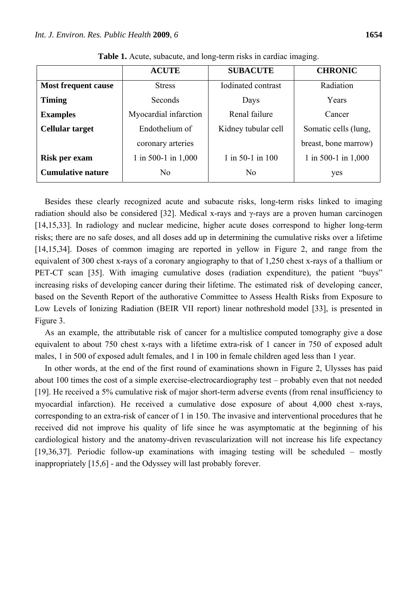|                            | <b>ACUTE</b>          | <b>SUBACUTE</b>     | <b>CHRONIC</b>        |  |
|----------------------------|-----------------------|---------------------|-----------------------|--|
| <b>Most frequent cause</b> | <b>Stress</b>         | Iodinated contrast  | Radiation             |  |
| <b>Timing</b>              | Seconds               | Days                | Years                 |  |
| <b>Examples</b>            | Myocardial infarction | Renal failure       | Cancer                |  |
| <b>Cellular target</b>     | Endothelium of        | Kidney tubular cell | Somatic cells (lung,  |  |
|                            | coronary arteries     |                     | breast, bone marrow)  |  |
| Risk per exam              | 1 in 500-1 in 1,000   | $1$ in 50-1 in 100  | 1 in 500-1 in $1,000$ |  |
| <b>Cumulative nature</b>   | N <sub>0</sub>        | N <sub>0</sub>      | yes                   |  |

**Table 1.** Acute, subacute, and long-term risks in cardiac imaging.

Besides these clearly recognized acute and subacute risks, long-term risks linked to imaging radiation should also be considered [32]. Medical x-rays and γ-rays are a proven human carcinogen [14,15,33]. In radiology and nuclear medicine, higher acute doses correspond to higher long-term risks; there are no safe doses, and all doses add up in determining the cumulative risks over a lifetime [14,15,34]. Doses of common imaging are reported in yellow in Figure 2, and range from the equivalent of 300 chest x-rays of a coronary angiography to that of 1,250 chest x-rays of a thallium or PET-CT scan [35]. With imaging cumulative doses (radiation expenditure), the patient "buys" increasing risks of developing cancer during their lifetime. The estimated risk of developing cancer, based on the Seventh Report of the authorative Committee to Assess Health Risks from Exposure to Low Levels of Ionizing Radiation (BEIR VII report) linear nothreshold model [33], is presented in Figure 3.

As an example, the attributable risk of cancer for a multislice computed tomography give a dose equivalent to about 750 chest x-rays with a lifetime extra-risk of 1 cancer in 750 of exposed adult males, 1 in 500 of exposed adult females, and 1 in 100 in female children aged less than 1 year.

In other words, at the end of the first round of examinations shown in Figure 2, Ulysses has paid about 100 times the cost of a simple exercise-electrocardiography test – probably even that not needed [19]. He received a 5% cumulative risk of major short-term adverse events (from renal insufficiency to myocardial infarction). He received a cumulative dose exposure of about 4,000 chest x-rays, corresponding to an extra-risk of cancer of 1 in 150. The invasive and interventional procedures that he received did not improve his quality of life since he was asymptomatic at the beginning of his cardiological history and the anatomy-driven revascularization will not increase his life expectancy [19,36,37]. Periodic follow-up examinations with imaging testing will be scheduled – mostly inappropriately [15,6] - and the Odyssey will last probably forever.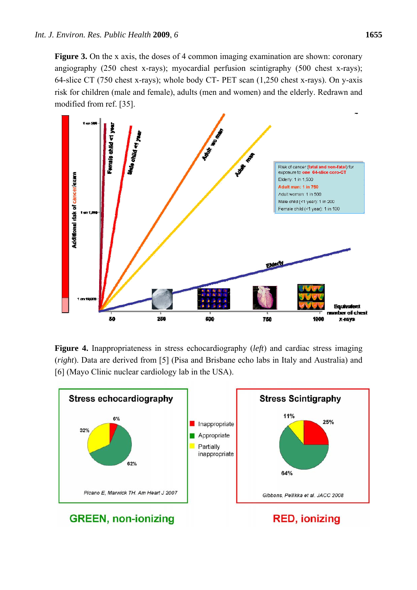**Figure 3.** On the x axis, the doses of 4 common imaging examination are shown: coronary angiography (250 chest x-rays); myocardial perfusion scintigraphy (500 chest x-rays); 64-slice CT (750 chest x-rays); whole body CT- PET scan (1,250 chest x-rays). On y-axis risk for children (male and female), adults (men and women) and the elderly. Redrawn and modified from ref. [35].



**Figure 4.** Inappropriateness in stress echocardiography (*left*) and cardiac stress imaging (*right*). Data are derived from [5] (Pisa and Brisbane echo labs in Italy and Australia) and [6] (Mayo Clinic nuclear cardiology lab in the USA).

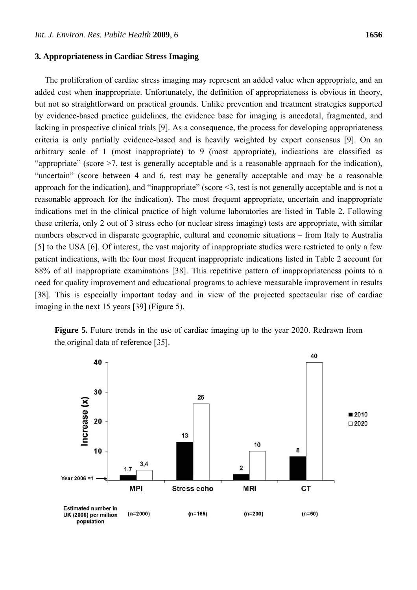#### **3. Appropriateness in Cardiac Stress Imaging**

The proliferation of cardiac stress imaging may represent an added value when appropriate, and an added cost when inappropriate. Unfortunately, the definition of appropriateness is obvious in theory, but not so straightforward on practical grounds. Unlike prevention and treatment strategies supported by evidence-based practice guidelines, the evidence base for imaging is anecdotal, fragmented, and lacking in prospective clinical trials [9]. As a consequence, the process for developing appropriateness criteria is only partially evidence-based and is heavily weighted by expert consensus [9]. On an arbitrary scale of 1 (most inappropriate) to 9 (most appropriate), indications are classified as "appropriate" (score >7, test is generally acceptable and is a reasonable approach for the indication), "uncertain" (score between 4 and 6, test may be generally acceptable and may be a reasonable approach for the indication), and "inappropriate" (score <3, test is not generally acceptable and is not a reasonable approach for the indication). The most frequent appropriate, uncertain and inappropriate indications met in the clinical practice of high volume laboratories are listed in Table 2. Following these criteria, only 2 out of 3 stress echo (or nuclear stress imaging) tests are appropriate, with similar numbers observed in disparate geographic, cultural and economic situations – from Italy to Australia [5] to the USA [6]. Of interest, the vast majority of inappropriate studies were restricted to only a few patient indications, with the four most frequent inappropriate indications listed in Table 2 account for 88% of all inappropriate examinations [38]. This repetitive pattern of inappropriateness points to a need for quality improvement and educational programs to achieve measurable improvement in results

[38]. This is especially important today and in view of the projected spectacular rise of cardiac imaging in the next 15 years [39] (Figure 5).

**Figure 5.** Future trends in the use of cardiac imaging up to the year 2020. Redrawn from the original data of reference [35].

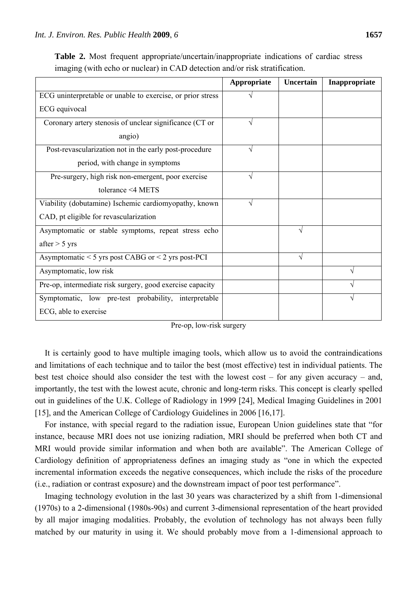|                                                            | Appropriate | Uncertain | Inappropriate |
|------------------------------------------------------------|-------------|-----------|---------------|
| ECG uninterpretable or unable to exercise, or prior stress |             |           |               |
| ECG equivocal                                              |             |           |               |
| Coronary artery stenosis of unclear significance (CT or    | V           |           |               |
| angio)                                                     |             |           |               |
| Post-revascularization not in the early post-procedure     | V           |           |               |
| period, with change in symptoms                            |             |           |               |
| Pre-surgery, high risk non-emergent, poor exercise         | N           |           |               |
| tolerance $\leq 4$ METS                                    |             |           |               |
| Viability (dobutamine) Ischemic cardiomyopathy, known      | V           |           |               |
| CAD, pt eligible for revascularization                     |             |           |               |
| Asymptomatic or stable symptoms, repeat stress echo        |             | V         |               |
| after $>$ 5 yrs                                            |             |           |               |
| Asymptomatic $<$ 5 yrs post CABG or $<$ 2 yrs post-PCI     |             | V         |               |
| Asymptomatic, low risk                                     |             |           | $\mathcal{A}$ |
| Pre-op, intermediate risk surgery, good exercise capacity  |             |           |               |
| Symptomatic, low pre-test probability, interpretable       |             |           |               |
| ECG, able to exercise                                      |             |           |               |

**Table 2.** Most frequent appropriate/uncertain/inappropriate indications of cardiac stress imaging (with echo or nuclear) in CAD detection and/or risk stratification.

|  | Pre-op, low-risk surgery |  |
|--|--------------------------|--|
|--|--------------------------|--|

It is certainly good to have multiple imaging tools, which allow us to avoid the contraindications and limitations of each technique and to tailor the best (most effective) test in individual patients. The best test choice should also consider the test with the lowest cost – for any given accuracy – and, importantly, the test with the lowest acute, chronic and long-term risks. This concept is clearly spelled out in guidelines of the U.K. College of Radiology in 1999 [24], Medical Imaging Guidelines in 2001 [15], and the American College of Cardiology Guidelines in 2006 [16,17].

For instance, with special regard to the radiation issue, European Union guidelines state that "for instance, because MRI does not use ionizing radiation, MRI should be preferred when both CT and MRI would provide similar information and when both are available". The American College of Cardiology definition of appropriateness defines an imaging study as "one in which the expected incremental information exceeds the negative consequences, which include the risks of the procedure (i.e., radiation or contrast exposure) and the downstream impact of poor test performance".

Imaging technology evolution in the last 30 years was characterized by a shift from 1-dimensional (1970s) to a 2-dimensional (1980s-90s) and current 3-dimensional representation of the heart provided by all major imaging modalities. Probably, the evolution of technology has not always been fully matched by our maturity in using it. We should probably move from a 1-dimensional approach to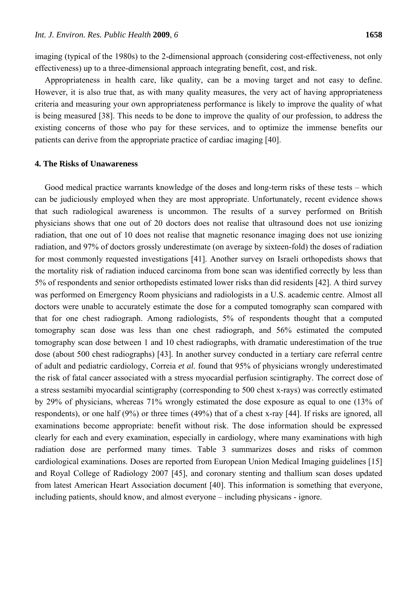imaging (typical of the 1980s) to the 2-dimensional approach (considering cost-effectiveness, not only effectiveness) up to a three-dimensional approach integrating benefit, cost, and risk.

Appropriateness in health care, like quality, can be a moving target and not easy to define. However, it is also true that, as with many quality measures, the very act of having appropriateness criteria and measuring your own appropriateness performance is likely to improve the quality of what is being measured [38]. This needs to be done to improve the quality of our profession, to address the existing concerns of those who pay for these services, and to optimize the immense benefits our patients can derive from the appropriate practice of cardiac imaging [40].

## **4. The Risks of Unawareness**

Good medical practice warrants knowledge of the doses and long-term risks of these tests – which can be judiciously employed when they are most appropriate. Unfortunately, recent evidence shows that such radiological awareness is uncommon. The results of a survey performed on British physicians shows that one out of 20 doctors does not realise that ultrasound does not use ionizing radiation, that one out of 10 does not realise that magnetic resonance imaging does not use ionizing radiation, and 97% of doctors grossly underestimate (on average by sixteen-fold) the doses of radiation for most commonly requested investigations [41]. Another survey on Israeli orthopedists shows that the mortality risk of radiation induced carcinoma from bone scan was identified correctly by less than 5% of respondents and senior orthopedists estimated lower risks than did residents [42]. A third survey was performed on Emergency Room physicians and radiologists in a U.S. academic centre. Almost all doctors were unable to accurately estimate the dose for a computed tomography scan compared with that for one chest radiograph. Among radiologists, 5% of respondents thought that a computed tomography scan dose was less than one chest radiograph, and 56% estimated the computed tomography scan dose between 1 and 10 chest radiographs, with dramatic underestimation of the true dose (about 500 chest radiographs) [43]. In another survey conducted in a tertiary care referral centre of adult and pediatric cardiology, Correia *et al*. found that 95% of physicians wrongly underestimated the risk of fatal cancer associated with a stress myocardial perfusion scintigraphy. The correct dose of a stress sestamibi myocardial scintigraphy (corresponding to 500 chest x-rays) was correctly estimated by 29% of physicians, whereas 71% wrongly estimated the dose exposure as equal to one (13% of respondents), or one half (9%) or three times (49%) that of a chest x-ray [44]. If risks are ignored, all examinations become appropriate: benefit without risk. The dose information should be expressed clearly for each and every examination, especially in cardiology, where many examinations with high radiation dose are performed many times. Table 3 summarizes doses and risks of common cardiological examinations. Doses are reported from European Union Medical Imaging guidelines [15] and Royal College of Radiology 2007 [45], and coronary stenting and thallium scan doses updated from latest American Heart Association document [40]. This information is something that everyone, including patients, should know, and almost everyone – including physicans - ignore.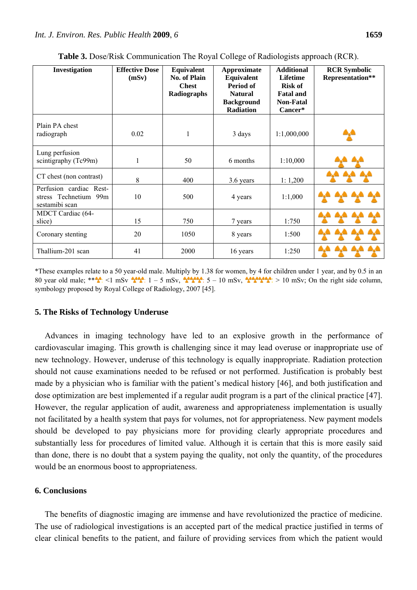| Investigation                                                      | <b>Effective Dose</b><br>(mSv) | Equivalent<br><b>No. of Plain</b><br><b>Chest</b><br>Radiographs | Approximate<br>Equivalent<br>Period of<br><b>Natural</b><br><b>Background</b><br><b>Radiation</b> | <b>Additional</b><br><b>Lifetime</b><br><b>Risk of</b><br><b>Fatal and</b><br><b>Non-Fatal</b><br>Cancer* | <b>RCR Symbolic</b><br>Representation** |
|--------------------------------------------------------------------|--------------------------------|------------------------------------------------------------------|---------------------------------------------------------------------------------------------------|-----------------------------------------------------------------------------------------------------------|-----------------------------------------|
| Plain PA chest<br>radiograph                                       | 0.02                           | 1                                                                | 3 days                                                                                            | 1:1,000,000                                                                                               |                                         |
| Lung perfusion<br>scintigraphy (Tc99m)                             | 1                              | 50                                                               | 6 months                                                                                          | 1:10,000                                                                                                  |                                         |
| CT chest (non contrast)                                            | 8                              | 400                                                              | 3.6 years                                                                                         | 1:1,200                                                                                                   |                                         |
| Perfusion cardiac Rest-<br>stress Technetium 99m<br>sestamibi scan | 10                             | 500                                                              | 4 years                                                                                           | 1:1,000                                                                                                   |                                         |
| MDCT Cardiac (64-<br>slice)                                        | 15                             | 750                                                              | 7 years                                                                                           | 1:750                                                                                                     |                                         |
| Coronary stenting                                                  | 20                             | 1050                                                             | 8 years                                                                                           | 1:500                                                                                                     |                                         |
| Thallium-201 scan                                                  | 41                             | 2000                                                             | 16 years                                                                                          | 1:250                                                                                                     |                                         |

**Table 3.** Dose/Risk Communication The Royal College of Radiologists approach (RCR).

\*These examples relate to a 50 year-old male. Multiply by 1.38 for women, by 4 for children under 1 year, and by 0.5 in an 80 year old male; \*\* $\frac{1}{2}$  <1 mSv  $\frac{1}{2}$ ,  $\frac{1}{2}$  = 5 mSv,  $\frac{1}{2}$ ,  $\frac{1}{2}$ ,  $\frac{1}{2}$ ,  $\frac{1}{2}$  = 10 mSv,  $\frac{1}{2}$  = 10 mSv; On the right side column, symbology proposed by Royal College of Radiology, 2007 [45].

## **5. The Risks of Technology Underuse**

Advances in imaging technology have led to an explosive growth in the performance of cardiovascular imaging. This growth is challenging since it may lead overuse or inappropriate use of new technology. However, underuse of this technology is equally inappropriate. Radiation protection should not cause examinations needed to be refused or not performed. Justification is probably best made by a physician who is familiar with the patient's medical history [46], and both justification and dose optimization are best implemented if a regular audit program is a part of the clinical practice [47]. However, the regular application of audit, awareness and appropriateness implementation is usually not facilitated by a health system that pays for volumes, not for appropriateness. New payment models should be developed to pay physicians more for providing clearly appropriate procedures and substantially less for procedures of limited value. Although it is certain that this is more easily said than done, there is no doubt that a system paying the quality, not only the quantity, of the procedures would be an enormous boost to appropriateness.

# **6. Conclusions**

The benefits of diagnostic imaging are immense and have revolutionized the practice of medicine. The use of radiological investigations is an accepted part of the medical practice justified in terms of clear clinical benefits to the patient, and failure of providing services from which the patient would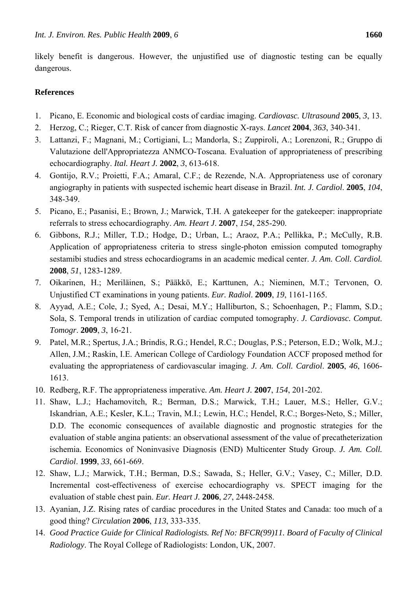likely benefit is dangerous. However, the unjustified use of diagnostic testing can be equally dangerous.

# **References**

- 1. Picano, E. Economic and biological costs of cardiac imaging. *Cardiovasc. Ultrasound* **2005**, *3*, 13.
- 2. Herzog, C.; Rieger, C.T. Risk of cancer from diagnostic X-rays. *Lancet* **2004**, *363*, 340-341.
- 3. Lattanzi, F.; Magnani, M.; Cortigiani, L.; Mandorla, S.; Zuppiroli, A.; Lorenzoni, R.; Gruppo di Valutazione dell'Appropriatezza ANMCO-Toscana. Evaluation of appropriateness of prescribing echocardiography. *Ital. Heart J.* **2002**, *3*, 613-618.
- 4. Gontijo, R.V.; Proietti, F.A.; Amaral, C.F.; de Rezende, N.A. Appropriateness use of coronary angiography in patients with suspected ischemic heart disease in Brazil. *Int. J. Cardiol*. **2005**, *104*, 348-349.
- 5. Picano, E.; Pasanisi, E.; Brown, J.; Marwick, T.H. A gatekeeper for the gatekeeper: inappropriate referrals to stress echocardiography. *Am. Heart J*. **2007**, *154*, 285-290.
- 6. Gibbons, R.J.; Miller, T.D.; Hodge, D.; Urban, L.; Araoz, P.A.; Pellikka, P.; McCully, R.B. Application of appropriateness criteria to stress single-photon emission computed tomography sestamibi studies and stress echocardiograms in an academic medical center. *J. Am. Coll. Cardiol.*  **2008**, *51*, 1283-1289.
- 7. Oikarinen, H.; Meriläinen, S.; Pääkkö, E.; Karttunen, A.; Nieminen, M.T.; Tervonen, O. Unjustified CT examinations in young patients. *Eur. Radiol*. **2009**, *19*, 1161-1165.
- 8. Ayyad, A.E.; Cole, J.; Syed, A.; Desai, M.Y.; Halliburton, S.; Schoenhagen, P.; Flamm, S.D.; Sola, S. Temporal trends in utilization of cardiac computed tomography. *J. Cardiovasc. Comput. Tomogr*. **2009**, *3*, 16-21.
- 9. Patel, M.R.; Spertus, J.A.; Brindis, R.G.; Hendel, R.C.; Douglas, P.S.; Peterson, E.D.; Wolk, M.J.; Allen, J.M.; Raskin, I.E. American College of Cardiology Foundation ACCF proposed method for evaluating the appropriateness of cardiovascular imaging. *J. Am. Coll. Cardiol*. **2005**, *46*, 1606- 1613.
- 10. Redberg, R.F. The appropriateness imperative*. Am. Heart J.* **2007**, *154*, 201-202.
- 11. Shaw, L.J.; Hachamovitch, R.; Berman, D.S.; Marwick, T.H.; Lauer, M.S.; Heller, G.V.; Iskandrian, A.E.; Kesler, K.L.; Travin, M.I.; Lewin, H.C.; Hendel, R.C.; Borges-Neto, S.; Miller, D.D. The economic consequences of available diagnostic and prognostic strategies for the evaluation of stable angina patients: an observational assessment of the value of precatheterization ischemia. Economics of Noninvasive Diagnosis (END) Multicenter Study Group. *J. Am. Coll. Cardiol*. **1999**, *33*, 661-669.
- 12. Shaw, L.J.; Marwick, T.H.; Berman, D.S.; Sawada, S.; Heller, G.V.; Vasey, C.; Miller, D.D. Incremental cost-effectiveness of exercise echocardiography vs. SPECT imaging for the evaluation of stable chest pain. *Eur. Heart J.* **2006**, *27*, 2448-2458.
- 13. Ayanian, J.Z. Rising rates of cardiac procedures in the United States and Canada: too much of a good thing? *Circulation* **2006**, *113*, 333-335.
- 14. *Good Practice Guide for Clinical Radiologists. Ref No: BFCR(99)11. Board of Faculty of Clinical Radiology*. The Royal College of Radiologists: London, UK, 2007.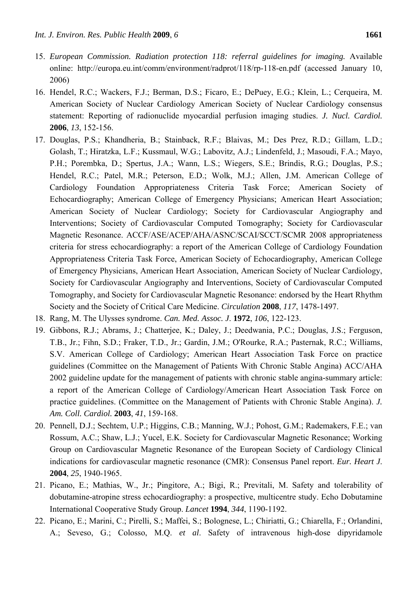- 15. *European Commission. Radiation protection 118: referral guidelines for imaging.* Available online: http://europa.eu.int/comm/environment/radprot/118/rp-118-en.pdf (accessed January 10, 2006)
- 16. Hendel, R.C.; Wackers, F.J.; Berman, D.S.; Ficaro, E.; DePuey, E.G.; Klein, L.; Cerqueira, M. American Society of Nuclear Cardiology American Society of Nuclear Cardiology consensus statement: Reporting of radionuclide myocardial perfusion imaging studies. *J. Nucl. Cardiol.* **2006**, *13*, 152-156.
- 17. Douglas, P.S.; Khandheria, B.; Stainback, R.F.; Blaivas, M.; Des Prez, R.D.; Gillam, L.D.; Golash, T.; Hiratzka, L.F.; Kussmaul, W.G.; Labovitz, A.J.; Lindenfeld, J.; Masoudi, F.A.; Mayo, P.H.; Porembka, D.; Spertus, J.A.; Wann, L.S.; Wiegers, S.E.; Brindis, R.G.; Douglas, P.S.; Hendel, R.C.; Patel, M.R.; Peterson, E.D.; Wolk, M.J.; Allen, J.M. American College of Cardiology Foundation Appropriateness Criteria Task Force; American Society of Echocardiography; American College of Emergency Physicians; American Heart Association; American Society of Nuclear Cardiology; Society for Cardiovascular Angiography and Interventions; Society of Cardiovascular Computed Tomography; Society for Cardiovascular Magnetic Resonance. ACCF/ASE/ACEP/AHA/ASNC/SCAI/SCCT/SCMR 2008 appropriateness criteria for stress echocardiography: a report of the American College of Cardiology Foundation Appropriateness Criteria Task Force, American Society of Echocardiography, American College of Emergency Physicians, American Heart Association, American Society of Nuclear Cardiology, Society for Cardiovascular Angiography and Interventions, Society of Cardiovascular Computed Tomography, and Society for Cardiovascular Magnetic Resonance: endorsed by the Heart Rhythm Society and the Society of Critical Care Medicine. *Circulation* **2008**, *117*, 1478-1497.
- 18. Rang, M. The Ulysses syndrome. *Can. Med. Assoc. J*. **1972**, *106*, 122-123.
- 19. Gibbons, R.J.; Abrams, J.; Chatterjee, K.; Daley, J.; Deedwania, P.C.; Douglas, J.S.; Ferguson, T.B., Jr.; Fihn, S.D.; Fraker, T.D., Jr.; Gardin, J.M.; O'Rourke, R.A.; Pasternak, R.C.; Williams, S.V. American College of Cardiology; American Heart Association Task Force on practice guidelines (Committee on the Management of Patients With Chronic Stable Angina) ACC/AHA 2002 guideline update for the management of patients with chronic stable angina-summary article: a report of the American College of Cardiology/American Heart Association Task Force on practice guidelines. (Committee on the Management of Patients with Chronic Stable Angina). *J. Am. Coll. Cardiol.* **2003**, *41*, 159-168.
- 20. Pennell, D.J.; Sechtem, U.P.; Higgins, C.B.; Manning, W.J.; Pohost, G.M.; Rademakers, F.E.; van Rossum, A.C.; Shaw, L.J.; Yucel, E.K. Society for Cardiovascular Magnetic Resonance; Working Group on Cardiovascular Magnetic Resonance of the European Society of Cardiology Clinical indications for cardiovascular magnetic resonance (CMR): Consensus Panel report. *Eur. Heart J*. **2004**, *25*, 1940-1965.
- 21. Picano, E.; Mathias, W., Jr.; Pingitore, A.; Bigi, R.; Previtali, M. Safety and tolerability of dobutamine-atropine stress echocardiography: a prospective, multicentre study. Echo Dobutamine International Cooperative Study Group. *Lancet* **1994**, *344*, 1190-1192.
- 22. Picano, E.; Marini, C.; Pirelli, S.; Maffei, S.; Bolognese, L.; Chiriatti, G.; Chiarella, F.; Orlandini, A.; Seveso, G.; Colosso, M.Q. *et al*. Safety of intravenous high-dose dipyridamole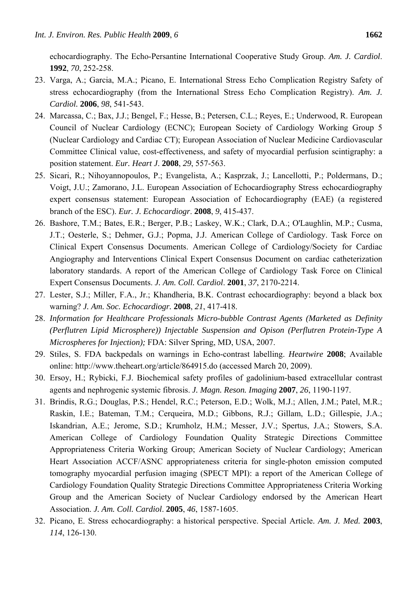echocardiography. The Echo-Persantine International Cooperative Study Group. *Am. J. Cardiol*. **1992**, *70*, 252-258.

- 23. Varga, A.; Garcia, M.A.; Picano, E. International Stress Echo Complication Registry Safety of stress echocardiography (from the International Stress Echo Complication Registry). *Am. J. Cardiol.* **2006**, *98*, 541-543.
- 24. Marcassa, C.; Bax, J.J.; Bengel, F.; Hesse, B.; Petersen, C.L.; Reyes, E.; Underwood, R. European Council of Nuclear Cardiology (ECNC); European Society of Cardiology Working Group 5 (Nuclear Cardiology and Cardiac CT); European Association of Nuclear Medicine Cardiovascular Committee Clinical value, cost-effectiveness, and safety of myocardial perfusion scintigraphy: a position statement. *Eur. Heart J*. **2008**, *29*, 557-563.
- 25. Sicari, R.; Nihoyannopoulos, P.; Evangelista, A.; Kasprzak, J.; Lancellotti, P.; Poldermans, D.; Voigt, J.U.; Zamorano, J.L. European Association of Echocardiography Stress echocardiography expert consensus statement: European Association of Echocardiography (EAE) (a registered branch of the ESC). *Eur. J. Echocardiogr*. **2008**, *9*, 415-437.
- 26. Bashore, T.M.; Bates, E.R.; Berger, P.B.; Laskey, W.K.; Clark, D.A.; O'Laughlin, M.P.; Cusma, J.T.; Oesterle, S.; Dehmer, G.J.; Popma, J.J. American College of Cardiology. Task Force on Clinical Expert Consensus Documents. American College of Cardiology/Society for Cardiac Angiography and Interventions Clinical Expert Consensus Document on cardiac catheterization laboratory standards. A report of the American College of Cardiology Task Force on Clinical Expert Consensus Documents. *J. Am. Coll. Cardiol*. **2001**, *37*, 2170-2214.
- 27. Lester, S.J.; Miller, F.A., Jr.; Khandheria, B.K. Contrast echocardiography: beyond a black box warning? *J. Am. Soc. Echocardiogr.* **2008**, *21*, 417-418.
- 28. *Information for Healthcare Professionals Micro-bubble Contrast Agents (Marketed as Definity (Perflutren Lipid Microsphere)) Injectable Suspension and Opison (Perflutren Protein-Type A Microspheres for Injection);* FDA: Silver Spring, MD, USA, 2007.
- 29. Stiles, S. FDA backpedals on warnings in Echo-contrast labelling. *Heartwire* **2008**; Available online: http://www.theheart.org/article/864915.do (accessed March 20, 2009).
- 30. Ersoy, H.; Rybicki, F.J. Biochemical safety profiles of gadolinium-based extracellular contrast agents and nephrogenic systemic fibrosis. *J. Magn. Reson. Imaging* **2007**, *26*, 1190-1197.
- 31. Brindis, R.G.; Douglas, P.S.; Hendel, R.C.; Peterson, E.D.; Wolk, M.J.; Allen, J.M.; Patel, M.R.; Raskin, I.E.; Bateman, T.M.; Cerqueira, M.D.; Gibbons, R.J.; Gillam, L.D.; Gillespie, J.A.; Iskandrian, A.E.; Jerome, S.D.; Krumholz, H.M.; Messer, J.V.; Spertus, J.A.; Stowers, S.A. American College of Cardiology Foundation Quality Strategic Directions Committee Appropriateness Criteria Working Group; American Society of Nuclear Cardiology; American Heart Association ACCF/ASNC appropriateness criteria for single-photon emission computed tomography myocardial perfusion imaging (SPECT MPI): a report of the American College of Cardiology Foundation Quality Strategic Directions Committee Appropriateness Criteria Working Group and the American Society of Nuclear Cardiology endorsed by the American Heart Association. *J. Am. Coll. Cardiol*. **2005**, *46*, 1587-1605.
- 32. Picano, E. Stress echocardiography: a historical perspective. Special Article. *Am. J. Med.* **2003**, *114*, 126-130.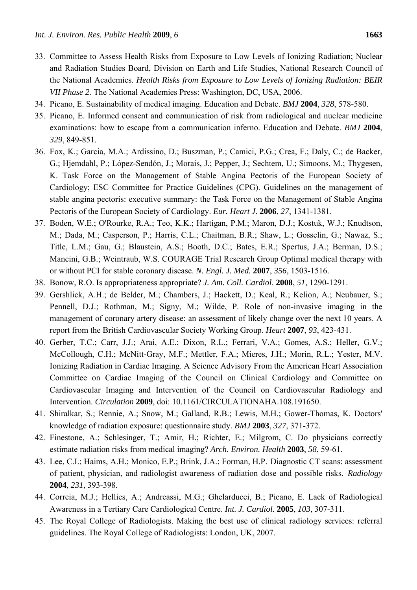- 
- 33. Committee to Assess Health Risks from Exposure to Low Levels of Ionizing Radiation; Nuclear and Radiation Studies Board, Division on Earth and Life Studies, National Research Council of the National Academies. *Health Risks from Exposure to Low Levels of Ionizing Radiation: BEIR VII Phase 2.* The National Academies Press: Washington, DC, USA, 2006.
- 34. Picano, E. Sustainability of medical imaging. Education and Debate. *BMJ* **2004**, *328*, 578-580.
- 35. Picano, E. Informed consent and communication of risk from radiological and nuclear medicine examinations: how to escape from a communication inferno. Education and Debate. *BMJ* **2004**, *329*, 849-851.
- 36. Fox, K.; Garcia, M.A.; Ardissino, D.; Buszman, P.; Camici, P.G.; Crea, F.; Daly, C.; de Backer, G.; Hjemdahl, P.; López-Sendón, J.; Morais, J.; Pepper, J.; Sechtem, U.; Simoons, M.; Thygesen, K. Task Force on the Management of Stable Angina Pectoris of the European Society of Cardiology; ESC Committee for Practice Guidelines (CPG). Guidelines on the management of stable angina pectoris: executive summary: the Task Force on the Management of Stable Angina Pectoris of the European Society of Cardiology. *Eur. Heart J*. **2006**, *27*, 1341-1381.
- 37. Boden, W.E.; O'Rourke, R.A.; Teo, K.K.; Hartigan, P.M.; Maron, D.J.; Kostuk, W.J.; Knudtson, M.; Dada, M.; Casperson, P.; Harris, C.L.; Chaitman, B.R.; Shaw, L.; Gosselin, G.; Nawaz, S.; Title, L.M.; Gau, G.; Blaustein, A.S.; Booth, D.C.; Bates, E.R.; Spertus, J.A.; Berman, D.S.; Mancini, G.B.; Weintraub, W.S. COURAGE Trial Research Group Optimal medical therapy with or without PCI for stable coronary disease. *N. Engl. J. Med.* **2007**, *356*, 1503-1516.
- 38. Bonow, R.O. Is appropriateness appropriate? *J. Am. Coll. Cardiol*. **2008**, *51*, 1290-1291.
- 39. Gershlick, A.H.; de Belder, M.; Chambers, J.; Hackett, D.; Keal, R.; Kelion, A.; Neubauer, S.; Pennell, D.J.; Rothman, M.; Signy, M.; Wilde, P. Role of non-invasive imaging in the management of coronary artery disease: an assessment of likely change over the next 10 years. A report from the British Cardiovascular Society Working Group. *Heart* **2007**, *93*, 423-431.
- 40. Gerber, T.C.; Carr, J.J.; Arai, A.E.; Dixon, R.L.; Ferrari, V.A.; Gomes, A.S.; Heller, G.V.; McCollough, C.H.; McNitt-Gray, M.F.; Mettler, F.A.; Mieres, J.H.; Morin, R.L.; Yester, M.V. Ionizing Radiation in Cardiac Imaging. A Science Advisory From the American Heart Association Committee on Cardiac Imaging of the Council on Clinical Cardiology and Committee on Cardiovascular Imaging and Intervention of the Council on Cardiovascular Radiology and Intervention. *Circulation* **2009**, doi: 10.1161/CIRCULATIONAHA.108.191650.
- 41. Shiralkar, S.; Rennie, A.; Snow, M.; Galland, R.B.; Lewis, M.H.; Gower-Thomas, K. Doctors' knowledge of radiation exposure: questionnaire study. *BMJ* **2003**, *327*, 371-372.
- 42. Finestone, A.; Schlesinger, T.; Amir, H.; Richter, E.; Milgrom, C. Do physicians correctly estimate radiation risks from medical imaging? *Arch. Environ. Health* **2003**, *58*, 59-61.
- 43. Lee, C.I.; Haims, A.H.; Monico, E.P.; Brink, J.A.; Forman, H.P. Diagnostic CT scans: assessment of patient, physician, and radiologist awareness of radiation dose and possible risks. *Radiology* **2004**, *231*, 393-398.
- 44. Correia, M.J.; Hellies, A.; Andreassi, M.G.; Ghelarducci, B.; Picano, E. Lack of Radiological Awareness in a Tertiary Care Cardiological Centre. *Int. J. Cardiol.* **2005**, *103*, 307-311.
- 45. The Royal College of Radiologists. Making the best use of clinical radiology services: referral guidelines. The Royal College of Radiologists: London, UK, 2007.